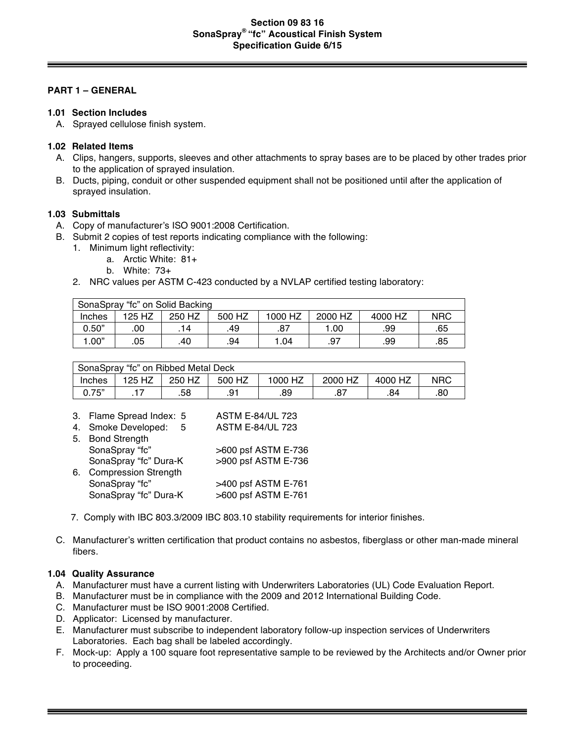## **Section 09 83 16 SonaSpray® "fc" Acoustical Finish System Specification Guide 6/15**

#### **PART 1 – GENERAL**

#### **1.01 Section Includes**

A. Sprayed cellulose finish system.

### **1.02 Related Items**

- A. Clips, hangers, supports, sleeves and other attachments to spray bases are to be placed by other trades prior to the application of sprayed insulation.
- B. Ducts, piping, conduit or other suspended equipment shall not be positioned until after the application of sprayed insulation.

#### **1.03 Submittals**

- A. Copy of manufacturer's ISO 9001:2008 Certification.
- B. Submit 2 copies of test reports indicating compliance with the following:
	- 1. Minimum light reflectivity:
		- a. Arctic White: 81+
		- b. White: 73+
	- 2. NRC values per ASTM C-423 conducted by a NVLAP certified testing laboratory:

| SonaSpray "fc" on Solid Backing |        |        |        |         |         |         |            |
|---------------------------------|--------|--------|--------|---------|---------|---------|------------|
| Inches                          | 125 HZ | 250 HZ | 500 HZ | 1000 HZ | 2000 HZ | 4000 HZ | <b>NRC</b> |
| 0.50"                           | .00    | 14     | .49    | .87     | 1.00    | .99     | .65        |
| 1.00"                           | .05    | .40    | .94    | 1.04    | .97     | .99     | .85        |

| SonaSpray "fc" on Ribbed Metal Deck |        |        |        |         |         |         |            |
|-------------------------------------|--------|--------|--------|---------|---------|---------|------------|
| Inches                              | 125 HZ | 250 HZ | 500 HZ | 1000 HZ | 2000 HZ | 4000 HZ | <b>NRC</b> |
| 0.75"                               |        | .58    | .91    | .89     |         | .84     | .80        |

|    | 3. Flame Spread Index: 5    | <b>ASTM E-84/UL 723</b> |
|----|-----------------------------|-------------------------|
|    | 4. Smoke Developed:<br>-5   | <b>ASTM E-84/UL 723</b> |
|    | 5. Bond Strength            |                         |
|    | SonaSpray "fc"              | >600 psf ASTM E-736     |
|    | SonaSpray "fc" Dura-K       | >900 psf ASTM E-736     |
| 6. | <b>Compression Strength</b> |                         |
|    | SonaSpray "fc"              | >400 psf ASTM E-761     |
|    | SonaSpray "fc" Dura-K       | >600 psf ASTM E-761     |

- 7. Comply with IBC 803.3/2009 IBC 803.10 stability requirements for interior finishes.
- C. Manufacturer's written certification that product contains no asbestos, fiberglass or other man-made mineral fibers.

# **1.04 Quality Assurance**

- A. Manufacturer must have a current listing with Underwriters Laboratories (UL) Code Evaluation Report.
- B. Manufacturer must be in compliance with the 2009 and 2012 International Building Code.
- C. Manufacturer must be ISO 9001:2008 Certified.
- D. Applicator: Licensed by manufacturer.
- E. Manufacturer must subscribe to independent laboratory follow-up inspection services of Underwriters Laboratories. Each bag shall be labeled accordingly.
- F. Mock-up: Apply a 100 square foot representative sample to be reviewed by the Architects and/or Owner prior to proceeding.